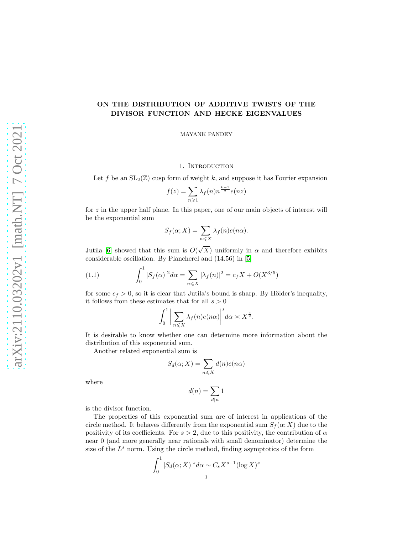# arXiv:2110.03202v1 [math.NT] 7 Oct 2021 [arXiv:2110.03202v1 \[math.NT\] 7 Oct 2021](http://arxiv.org/abs/2110.03202v1)

# ON THE DISTRIBUTION OF ADDITIVE TWISTS OF THE DIVISOR FUNCTION AND HECKE EIGENVALUES

MAYANK PANDEY

# 1. INTRODUCTION

Let f be an  $SL_2(\mathbb{Z})$  cusp form of weight k, and suppose it has Fourier expansion

$$
f(z) = \sum_{n \geq 1} \lambda_f(n) n^{\frac{k-1}{2}} e(nz)
$$

for  $z$  in the upper half plane. In this paper, one of our main objects of interest will be the exponential sum

$$
S_f(\alpha; X) = \sum_{n \leq X} \lambda_f(n) e(n\alpha).
$$

Jutila [\[6\]](#page-19-0) showed that this sum is  $O(\sqrt{X})$  uniformly in  $\alpha$  and therefore exhibits considerable oscillation. By Plancherel and (14.56) in [\[5\]](#page-19-1)

(1.1) 
$$
\int_0^1 |S_f(\alpha)|^2 d\alpha = \sum_{n \le X} |\lambda_f(n)|^2 = c_f X + O(X^{3/5})
$$

for some  $c_f > 0$ , so it is clear that Jutila's bound is sharp. By Hölder's inequality, it follows from these estimates that for all  $s > 0$ 

<span id="page-0-0"></span>
$$
\int_0^1 \bigg| \sum_{n \leqslant X} \lambda_f(n) e(n\alpha) \bigg|^s d\alpha \asymp X^{\frac{s}{2}}.
$$

It is desirable to know whether one can determine more information about the distribution of this exponential sum.

Another related exponential sum is

$$
S_d(\alpha; X) = \sum_{n \le X} d(n)e(n\alpha)
$$

where

$$
d(n)=\sum_{d|n}1
$$

is the divisor function.

The properties of this exponential sum are of interest in applications of the circle method. It behaves differently from the exponential sum  $S_f(\alpha; X)$  due to the positivity of its coefficients. For  $s > 2$ , due to this positivity, the contribution of  $\alpha$ near 0 (and more generally near rationals with small denominator) determine the size of the  $L^s$  norm. Using the circle method, finding asymptotics of the form

$$
\int_0^1 |S_d(\alpha; X)|^s d\alpha \sim C_s X^{s-1} (\log X)^s
$$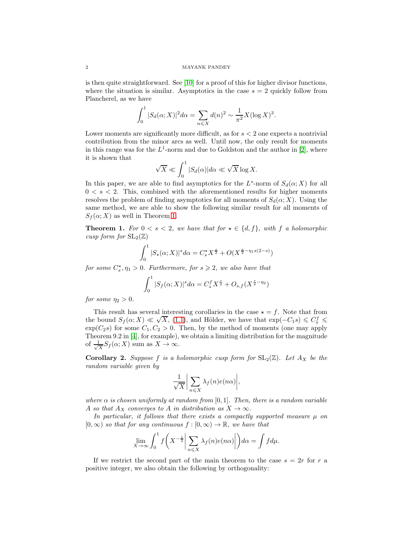is then quite straightforward. See [\[10\]](#page-19-2) for a proof of this for higher divisor functions, where the situation is similar. Asymptotics in the case  $s = 2$  quickly follow from Plancherel, as we have

$$
\int_0^1 |S_d(\alpha; X)|^2 d\alpha = \sum_{n \le X} d(n)^2 \sim \frac{1}{\pi^2} X (\log X)^3.
$$

Lower moments are significantly more difficult, as for  $s < 2$  one expects a nontrivial contribution from the minor arcs as well. Until now, the only result for moments in this range was for the  $L^1$ -norm and due to Goldston and the author in [\[2\]](#page-19-3), where it is shown that

$$
\sqrt{X} \ll \int_0^1 |S_d(\alpha)| d\alpha \ll \sqrt{X} \log X.
$$

In this paper, we are able to find asymptotics for the  $L^s$ -norm of  $S_d(\alpha; X)$  for all  $0 < s < 2$ . This, combined with the aforementioned results for higher moments resolves the problem of finding asymptotics for all moments of  $S_d(\alpha; X)$ . Using the same method, we are able to show the following similar result for all moments of  $S_f(\alpha; X)$  as well in Theorem [1.](#page-1-0)

<span id="page-1-0"></span>**Theorem 1.** For  $0 < s < 2$ , we have that for  $\star \in \{d, f\}$ , with f a holomorphic cusp form for  $SL_2(\mathbb{Z})$ 

$$
\int_0^1 |S_\star(\alpha; X)|^s d\alpha = C_s^\star X^{\frac{s}{2}} + O(X^{\frac{s}{2} - \eta_1 s(2-s)})
$$

for some  $C_s^*, \eta_1 > 0$ . Furthermore, for  $s \geq 2$ , we also have that

$$
\int_0^1 |S_f(\alpha; X)|^s d\alpha = C_s^f X^{\frac{s}{2}} + O_{s,f}(X^{\frac{s}{2} - \eta_2})
$$

for some  $\eta_2 > 0$ .

This result has several interesting corollaries in the case  $\star = f$ . Note that from the bound  $S_f(\alpha; X) \ll \sqrt{X}$ , [\(1.1\)](#page-0-0), and Hölder, we have that  $\exp(-C_1s) \leq C_s^f \leq$  $\exp(C_2 s)$  for some  $C_1, C_2 > 0$ . Then, by the method of moments (one may apply Theorem 9.2 in [\[4\]](#page-19-4), for example), we obtain a limiting distribution for the magnitude of  $\frac{1}{\sqrt{2}}$  $\frac{1}{\overline{X}}S_f(\alpha;X)$  sum as  $X\to\infty$ .

**Corollary 2.** Suppose f is a holomorphic cusp form for  $SL_2(\mathbb{Z})$ . Let  $A_X$  be the random variable given by

$$
\frac{1}{\sqrt{X}} \bigg| \sum_{n \leq X} \lambda_f(n) e(n\alpha) \bigg|,
$$

where  $\alpha$  is chosen uniformly at random from [0, 1]. Then, there is a random variable A so that  $A_X$  converges to A in distribution as  $X \to \infty$ .

In particular, it follows that there exists a compactly supported measure  $\mu$  on  $[0, \infty)$  so that for any continuous  $f : [0, \infty) \to \mathbb{R}$ , we have that

$$
\lim_{X \to \infty} \int_0^1 f\left(X^{-\frac{1}{2}} \middle| \sum_{n \leq X} \lambda_f(n) e(n\alpha) \middle| \right) d\alpha = \int f d\mu.
$$

If we restrict the second part of the main theorem to the case  $s = 2r$  for r a positive integer, we also obtain the following by orthogonality: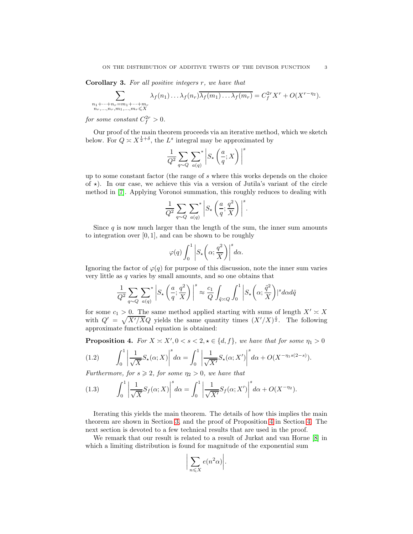Corollary 3. For all positive integers r, we have that

$$
\sum_{\substack{n_1+\cdots+n_r=m_1+\cdots+m_r\\n_r,\ldots,n_r,m_1,\ldots,m_r\leqslant X}} \lambda_f(n_1)\ldots\lambda_f(n_r)\overline{\lambda_f(m_1)\ldots\lambda_f(m_r)}=C_f^{2r}X^r+O(X^{r-\eta_2}).
$$

for some constant  $C_f^{2r} > 0$ .

Our proof of the main theorem proceeds via an iterative method, which we sketch below. For  $Q \asymp X^{\frac{1}{2} + \delta}$ , the  $L^s$  integral may be approximated by

$$
\frac{1}{Q^2} \sum_{q \sim Q} \sum_{a(q)}^* \left| S_\star \left( \frac{a}{q}; X \right) \right|^s
$$

up to some constant factor (the range of s where this works depends on the choice of  $\star$ ). In our case, we achieve this via a version of Jutila's variant of the circle method in [\[7\]](#page-19-5). Applying Voronoi summation, this roughly reduces to dealing with

$$
\frac{1}{Q^2} \sum_{q \sim Q} \sum_{a(q)}^* \left| S_{\star} \left( \frac{a}{q}; \frac{q^2}{X} \right) \right|^s.
$$

Since q is now much larger than the length of the sum, the inner sum amounts to integration over  $[0, 1]$ , and can be shown to be roughly

$$
\varphi(q)\int_0^1\left|S_\star\left(\alpha;\frac{q^2}{X}\right)\right|^s d\alpha.
$$

Ignoring the factor of  $\varphi(q)$  for purpose of this discussion, note the inner sum varies very little as q varies by small amounts, and so one obtains that

$$
\frac{1}{Q^2} \sum_{q \sim Q} \sum_{a(q)}^* \left| S_{\star} \left( \frac{a}{q}; \frac{q^2}{X} \right) \right|^s \approx \frac{c_1}{Q} \int_{\tilde{q} \asymp Q} \int_0^1 \left| S_{\star} \left( \alpha; \frac{\tilde{q}^2}{X} \right) \right|^s d\alpha d\tilde{q}
$$

for some  $c_1 > 0$ . The same method applied starting with sums of length  $X' \simeq X$ with  $Q' = \sqrt{X'/X}Q$  yields the same quantity times  $(X'/X)^{\frac{s}{2}}$ . The following approximate functional equation is obtained:

**Proposition 4.** For  $X \simeq X'$ ,  $0 < s < 2$ ,  $\star \in \{d, f\}$ , we have that for some  $\eta_1 > 0$ 

(1.2) 
$$
\int_0^1 \left| \frac{1}{\sqrt{X}} S_{\star}(\alpha; X) \right|^s d\alpha = \int_0^1 \left| \frac{1}{\sqrt{X'}} S_{\star}(\alpha; X') \right|^s d\alpha + O(X^{-\eta_1 s(2-s)}).
$$

Furthermore, for  $s \geqslant 2$ , for some  $\eta_2 > 0$ , we have that

<span id="page-2-0"></span>(1.3) 
$$
\int_0^1 \left| \frac{1}{\sqrt{X}} S_f(\alpha; X) \right|^s d\alpha = \int_0^1 \left| \frac{1}{\sqrt{X'}} S_f(\alpha; X') \right|^s d\alpha + O(X^{-\eta_2}).
$$

Iterating this yields the main theorem. The details of how this implies the main theorem are shown in Section [3,](#page-5-0) and the proof of Proposition [4](#page-2-0) in Section [4.](#page-9-0) The next section is devoted to a few technical results that are used in the proof.

We remark that our result is related to a result of Jurkat and van Horne [\[8\]](#page-19-6) in which a limiting distribution is found for magnitude of the exponential sum

$$
\bigg|\sum_{n\leqslant X}e(n^2\alpha)\bigg|.
$$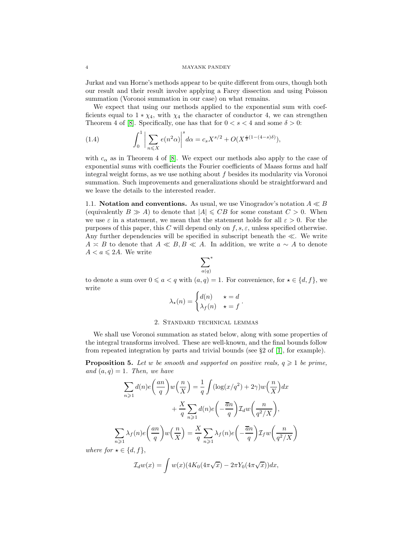Jurkat and van Horne's methods appear to be quite different from ours, though both our result and their result involve applying a Farey dissection and using Poisson summation (Voronoi summation in our case) on what remains.

We expect that using our methods applied to the exponential sum with coefficients equal to  $1 * \chi_4$ , with  $\chi_4$  the character of conductor 4, we can strengthen Theorem 4 of [\[8\]](#page-19-6). Specifically, one has that for  $0 < s < 4$  and some  $\delta > 0$ :

(1.4) 
$$
\int_0^1 \left| \sum_{n \leq X} e(n^2 \alpha) \right|^s d\alpha = c_s X^{s/2} + O(X^{\frac{s}{2}(1-(4-s)\delta)}),
$$

with  $c_{\alpha}$  as in Theorem 4 of [\[8\]](#page-19-6). We expect our methods also apply to the case of exponential sums with coefficients the Fourier coefficients of Maass forms and half integral weight forms, as we use nothing about  $f$  besides its modularity via Voronoi summation. Such improvements and generalizations should be straightforward and we leave the details to the interested reader.

1.1. Notation and conventions. As usual, we use Vinogradov's notation  $A \ll B$ (equivalently  $B \gg A$ ) to denote that  $|A| \leqslant CB$  for some constant  $C > 0$ . When we use  $\varepsilon$  in a statement, we mean that the statement holds for all  $\varepsilon > 0$ . For the purposes of this paper, this C will depend only on  $f, s, \varepsilon$ , unless specified otherwise. Any further dependencies will be specified in subscript beneath the  $\ll$ . We write  $A \simeq B$  to denote that  $A \ll B, B \ll A$ . In addition, we write  $a \sim A$  to denote  $A < a \leqslant 2A$ . We write

$$
\sum_{a(q)}^*
$$

to denote a sum over  $0 \leq a < q$  with  $(a, q) = 1$ . For convenience, for  $\star \in \{d, f\}$ , we write

$$
\lambda_{\star}(n) = \begin{cases} d(n) & \star = d \\ \lambda_f(n) & \star = f \end{cases}.
$$

# 2. Standard technical lemmas

We shall use Voronoi summation as stated below, along with some properties of the integral transforms involved. These are well-known, and the final bounds follow from repeated integration by parts and trivial bounds (see  $\S 2$  of  $|1|$ , for example).

<span id="page-3-0"></span>**Proposition 5.** Let w be smooth and supported on positive reals,  $q \geq 1$  be prime, and  $(a, q) = 1$ . Then, we have

$$
\sum_{n\geqslant 1} d(n)e\left(\frac{an}{q}\right)w\left(\frac{n}{X}\right) = \frac{1}{q}\int (\log(x/q^2) + 2\gamma)w\left(\frac{n}{X}\right)dx
$$

$$
+ \frac{X}{q}\sum_{n\geqslant 1} d(n)e\left(-\frac{\overline{a}n}{q}\right)\mathcal{I}_dw\left(\frac{n}{q^2/X}\right),
$$

$$
\sum_{n\geqslant 1} \lambda_f(n)e\left(\frac{an}{q}\right)w\left(\frac{n}{X}\right) = \frac{X}{q}\sum_{n\geqslant 1} \lambda_f(n)e\left(-\frac{\overline{a}n}{q}\right)\mathcal{I}_f w\left(\frac{n}{q^2/X}\right)
$$

where for  $\star \in \{d, f\},\$ 

$$
\mathcal{I}_d w(x) = \int w(x) (4K_0(4\pi\sqrt{x}) - 2\pi Y_0(4\pi\sqrt{x})) dx,
$$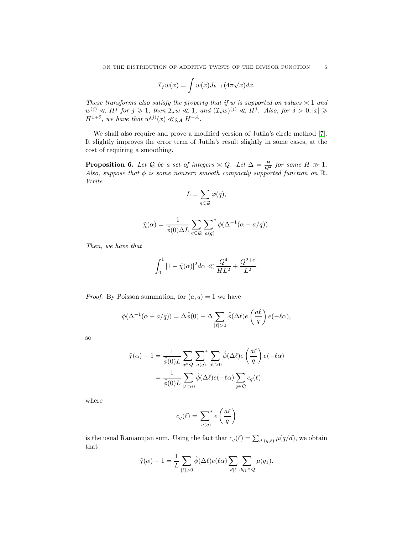$$
\mathcal{I}_f w(x) = \int w(x) J_{k-1}(4\pi \sqrt{x}) dx.
$$

These transforms also satisfy the property that if w is supported on values  $\geq 1$  and  $w^{(j)} \ll H^j$  for  $j \geqslant 1$ , then  $\mathcal{I}_\star w \ll 1$ , and  $(\mathcal{I}_\star w)^{(j)} \ll H^j$ . Also, for  $\delta > 0, |x| \geqslant 1$  $H^{1+\delta}$ , we have that  $w^{(j)}(x) \ll_{\delta,A} H^{-A}$ .

We shall also require and prove a modified version of Jutila's circle method [\[7\]](#page-19-5). It slightly improves the error term of Jutila's result slightly in some cases, at the cost of requiring a smoothing.

<span id="page-4-0"></span>**Proposition 6.** Let Q be a set of integers  $\asymp Q$ . Let  $\Delta = \frac{H}{Q^2}$  for some  $H \gg 1$ . Also, suppose that  $\phi$  is some nonzero smooth compactly supported function on  $\mathbb{R}$ . Write

$$
L=\sum_{q\in\mathcal{Q}}\varphi(q),
$$

$$
\tilde{\chi}(\alpha) = \frac{1}{\hat{\phi}(0)\Delta L} \sum_{q \in \mathcal{Q}} \sum_{a(q)}^* \phi(\Delta^{-1}(\alpha - a/q)).
$$

Then, we have that

$$
\int_0^1 |1 - \tilde{\chi}(\alpha)|^2 d\alpha \ll \frac{Q^4}{HL^2} + \frac{Q^{2+\varepsilon}}{L^2}.
$$

*Proof.* By Poisson summation, for  $(a, q) = 1$  we have

$$
\phi(\Delta^{-1}(\alpha - a/q)) = \Delta \hat{\phi}(0) + \Delta \sum_{|\ell|>0} \hat{\phi}(\Delta \ell) e\left(\frac{a\ell}{q}\right) e(-\ell \alpha),
$$

so

$$
\tilde{\chi}(\alpha) - 1 = \frac{1}{\hat{\phi}(0)L} \sum_{q \in \mathcal{Q}} \sum_{a(q)} \sum_{|\ell|>0} \hat{\phi}(\Delta \ell) e\left(\frac{a\ell}{q}\right) e(-\ell \alpha)
$$

$$
= \frac{1}{\hat{\phi}(0)L} \sum_{|\ell|>0} \hat{\phi}(\Delta \ell) e(-\ell \alpha) \sum_{q \in \mathcal{Q}} c_q(\ell)
$$

where

$$
c_q(\ell) = \sum_{a(q)}^* e\left(\frac{a\ell}{q}\right)
$$

is the usual Ramanujan sum. Using the fact that  $c_q(\ell) = \sum_{d|(q,\ell)} \mu(q/d)$ , we obtain that

$$
\tilde{\chi}(\alpha) - 1 = \frac{1}{L} \sum_{|\ell| > 0} \hat{\phi}(\Delta \ell) e(\ell \alpha) \sum_{d | \ell} \sum_{dq_1 \in \mathcal{Q}} \mu(q_1).
$$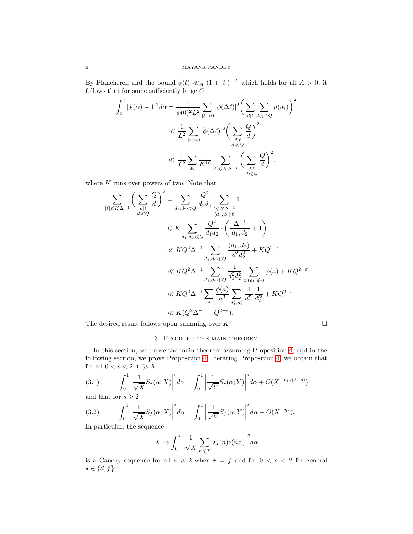By Plancherel, and the bound  $\hat{\phi}(t) \ll_A (1+|t|)^{-A}$  which holds for all  $A > 0$ , it follows that for some sufficiently large  ${\cal C}$ 

$$
\int_0^1 |\tilde{\chi}(\alpha) - 1|^2 d\alpha = \frac{1}{\hat{\phi}(0)^2 L^2} \sum_{|\ell|>0} |\hat{\phi}(\Delta \ell)|^2 \left(\sum_{\substack{d|\ell}} \sum_{\substack{dq_1 \in \mathcal{Q} \\ d \leq Q}} \mu(q_1)\right)^2
$$
  
\$\ll \frac{1}{L^2} \sum\_{|\ell|>0} |\hat{\phi}(\Delta \ell)|^2 \left(\sum\_{\substack{d|\ell\\d \leq Q}} \frac{Q}{d}\right)^2\$  
\$\ll \frac{1}{L^2} \sum\_{K} \frac{1}{K^{10}} \sum\_{|\ell| \leq K\Delta^{-1}} \left(\sum\_{\substack{d|\ell\\d \leq Q}} \frac{Q}{d}\right)^2\$.

where  $K$  runs over powers of two. Note that

$$
\sum_{|\ell| \le K\Delta^{-1}} \left(\sum_{\substack{d|\ell\\d \ll Q}} \frac{Q}{d}\right)^2 = \sum_{d_1, d_2 \ll Q} \frac{Q^2}{d_1 d_2} \sum_{\substack{\ell \le K\Delta^{-1}\\[d_1, d_2]|\ell}} 1
$$
\n
$$
\le K \sum_{d_1, d_2 \ll Q} \frac{Q^2}{d_1 d_2} \cdot \left(\frac{\Delta^{-1}}{[d_1, d_2]} + 1\right)
$$
\n
$$
\ll K Q^2 \Delta^{-1} \sum_{d_1, d_2 \ll Q} \frac{(d_1, d_2)}{d_1^2 d_2^2} + K Q^{2+\varepsilon}
$$
\n
$$
\ll K Q^2 \Delta^{-1} \sum_{d_1, d_2 \ll Q} \frac{1}{d_1^2 d_2^2} \sum_{a|(d_1, d_2)} \varphi(a) + K Q^{2+\varepsilon}
$$
\n
$$
\ll K Q^2 \Delta^{-1} \sum_{a} \frac{\phi(a)}{a^3} \sum_{d'_1, d'_2} \frac{1}{d'_1^2} \frac{1}{d'_2^2} + K Q^{2+\varepsilon}
$$
\n
$$
\ll K (Q^2 \Delta^{-1} + Q^{2+\varepsilon}).
$$
\nFind each of all zero, we compute  $\varepsilon$  by  $K$ .

<span id="page-5-0"></span>The desired result follows upon summing over  $K$ .

# 3. Proof of the main theorem

In this section, we prove the main theorem assuming Proposition [4,](#page-2-0) and in the following section, we prove Proposition [4.](#page-2-0) Iterating Proposition [4,](#page-2-0) we obtain that for all  $0 < s < 2, Y \geqslant X$ 

<span id="page-5-1"></span>(3.1) 
$$
\int_0^1 \left| \frac{1}{\sqrt{X}} S_{\star}(\alpha; X) \right|^s d\alpha = \int_0^1 \left| \frac{1}{\sqrt{Y}} S_{\star}(\alpha; Y) \right|^s d\alpha + O(X^{-\eta_1 s(2-s)})
$$

and that for  $s\geqslant 2$ 

<span id="page-5-2"></span>(3.2) 
$$
\int_0^1 \left| \frac{1}{\sqrt{X}} S_f(\alpha; X) \right|^s d\alpha = \int_0^1 \left| \frac{1}{\sqrt{Y}} S_f(\alpha; Y) \right|^s d\alpha + O(X^{-\eta_2}).
$$

In particular, the sequence

$$
X \mapsto \int_0^1 \left| \frac{1}{\sqrt{X}} \sum_{n \leq X} \lambda_{\star}(n) e(n\alpha) \right|^s d\alpha
$$

is a Cauchy sequence for all  $s \geq 2$  when  $\star = f$  and for  $0 < s < 2$  for general  $\star \in \{d, f\}.$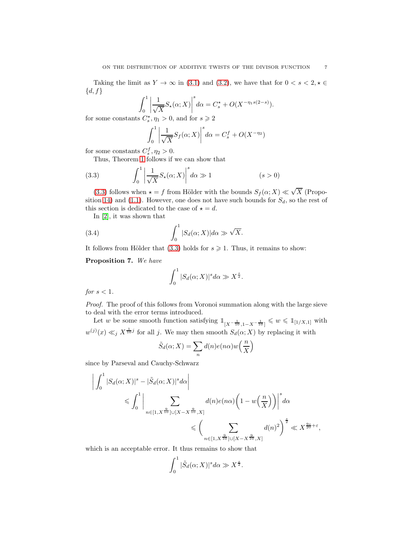Taking the limit as  $Y \to \infty$  in [\(3.1\)](#page-5-1) and [\(3.2\)](#page-5-2), we have that for  $0 < s < 2, \star \in$  $\{d, f\}$ 

$$
\int_0^1 \left| \frac{1}{\sqrt{X}} S_{\star}(\alpha; X) \right|^s d\alpha = C_s^{\star} + O(X^{-\eta_1 s(2-s)}).
$$

for some constants  $C_s^{\star}$ ,  $\eta_1 > 0$ , and for  $s \ge 2$ 

$$
\int_0^1 \left| \frac{1}{\sqrt{X}} S_f(\alpha; X) \right|^s d\alpha = C_s^f + O(X^{-\eta_2})
$$

for some constants  $C_s^f$ ,  $\eta_2 > 0$ .

Thus, Theorem [1](#page-1-0) follows if we can show that

<span id="page-6-0"></span>(3.3) 
$$
\int_0^1 \left| \frac{1}{\sqrt{X}} S_{\star}(\alpha; X) \right|^s d\alpha \gg 1 \qquad (s > 0)
$$

[\(3.3\)](#page-6-0) follows when  $\star = f$  from Hölder with the bounds  $S_f(\alpha; X) \ll \sqrt{X}$  (Propo-sition [14\)](#page-15-0) and [\(1.1\)](#page-0-0). However, one does not have such bounds for  $S_d$ , so the rest of this section is dedicated to the case of  $\star = d$ .

In [\[2\]](#page-19-3), it was shown that

(3.4) 
$$
\int_0^1 |S_d(\alpha; X)| d\alpha \gg \sqrt{X}.
$$

It follows from Hölder that [\(3.3\)](#page-6-0) holds for  $s \geq 1$ . Thus, it remains to show:

Proposition 7. We have

$$
\int_0^1 |S_d(\alpha; X)|^s d\alpha \gg X^{\frac{s}{2}}.
$$

for  $s < 1$ .

Proof. The proof of this follows from Voronoi summation along with the large sieve to deal with the error terms introduced.

Let w be some smooth function satisfying  $\mathbb{1}_{[X^{-\frac{1}{10}}, 1-X^{-\frac{1}{10}}]} \leq w \leq \mathbb{1}_{[1/X,1]}$  with  $w^{(j)}(x) \ll_j X^{\frac{1}{10}j}$  for all j. We may then smooth  $S_d(\alpha; X)$  by replacing it with

$$
\tilde{S}_d(\alpha; X) = \sum_n d(n)e(n\alpha)w\left(\frac{n}{X}\right)
$$

since by Parseval and Cauchy-Schwarz

$$
\left| \int_0^1 |S_d(\alpha; X)|^s - |\tilde{S}_d(\alpha; X)|^s d\alpha \right|
$$
  
\$\leqslant \int\_0^1 \left| \sum\_{n \in [1, X^{\frac{9}{10}}] \cup [X - X^{\frac{9}{10}}, X]} d(n) e(n\alpha) \left(1 - w\left(\frac{n}{X}\right)\right) \right|^s d\alpha\$  
\$\leqslant \left(\sum\_{n \in [1, X^{\frac{9}{10}}] \cup [X - X^{\frac{9}{10}}, X]} d(n)^2\right)^{\frac{s}{2}} \ll X^{\frac{9s}{20} + \varepsilon},

which is an acceptable error. It thus remains to show that

$$
\int_0^1 |\tilde{S}_d(\alpha; X)|^s d\alpha \gg X^{\frac{s}{2}}.
$$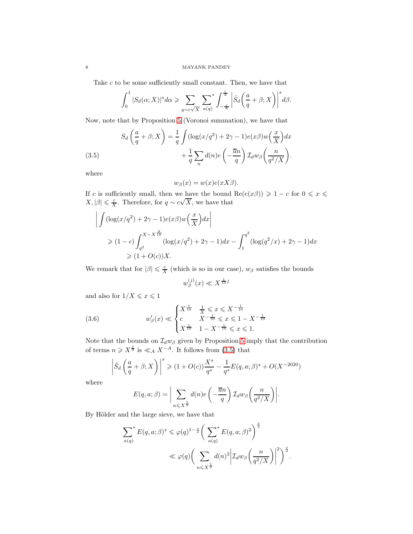Take  $c$  to be some sufficiently small constant. Then, we have that

$$
\int_0^1 |S_d(\alpha; X)|^s d\alpha \geqslant \sum_{q \sim c\sqrt{X}} \sum_{a(q)} \left| \sum_{-\frac{c}{X}}^{\frac{c}{X}} \left| \tilde{S}_d\left(\frac{a}{q} + \beta; X\right) \right|^s d\beta.
$$

Now, note that by Proposition [5](#page-3-0) (Voronoi summation), we have that

<span id="page-7-0"></span>(3.5)  

$$
S_d\left(\frac{a}{q} + \beta; X\right) = \frac{1}{q} \int (\log(x/q^2) + 2\gamma - 1)e(x\beta)w\left(\frac{x}{X}\right)dx + \frac{1}{q}\sum_n d(n)e\left(-\frac{\overline{a}n}{q}\right)\mathcal{I}_d w_\beta\left(\frac{n}{q^2/X}\right).
$$

where

$$
w_{\beta}(x) = w(x)e(xX\beta).
$$

If c is sufficiently small, then we have the bound  $\text{Re}(e(x\beta)) \geq 1 - c$  for  $0 \leq x \leq$  $X, |\beta| \leq \frac{c}{X}$ . Therefore, for  $q \sim c\sqrt{X}$ , we have that

$$
\left| \int (\log(x/q^2) + 2\gamma - 1)e(x\beta)w\left(\frac{x}{X}\right)dx \right|
$$
  
\n
$$
\geq (1 - c) \int_{q^2}^{X - X^{\frac{9}{10}}}\left( \log(x/q^2) + 2\gamma - 1 \right)dx - \int_{1}^{q^2} \left( \log(q^2/x) + 2\gamma - 1 \right)dx
$$
  
\n
$$
\geq (1 + O(c))X.
$$

We remark that for  $|\beta| \leq \frac{c}{X}$  (which is so in our case),  $w_{\beta}$  satisfies the bounds

$$
w_{\beta}^{(j)}(x)\ll X^{\frac{1}{10}j}
$$

and also for  $1/X\leqslant x\leqslant 1$ 

(3.6) 
$$
w'_{\beta}(x) \ll \begin{cases} X^{\frac{1}{10}} & \frac{1}{X} \leq x \leq X^{-\frac{1}{10}} \\ c & X^{-\frac{1}{10}} \leq x \leq 1 - X^{-\frac{1}{10}} \\ X^{\frac{1}{10}} & 1 - X^{-\frac{1}{10}} \leq x \leq 1. \end{cases}
$$

Note that the bounds on  $\mathcal{I}_d w_\beta$  given by Proposition [5](#page-3-0) imply that the contribution of terms  $n \geqslant X^{\frac{1}{9}}$  is  $\ll_A X^{-A}$ . It follows from [\(3.5\)](#page-7-0) that

$$
\left|\tilde{S}_d\left(\frac{a}{q}+\beta;X\right)\right|^s \geqslant (1+O(c))\frac{X^s}{q^s} - \frac{1}{q^s}E(q,a;\beta)^s + O(X^{-2020})
$$

where

$$
E(q, a; \beta) = \bigg| \sum_{n \leq X^{\frac{1}{9}}} d(n) e\left(-\frac{\overline{a}n}{q}\right) \mathcal{I}_d w_\beta\left(\frac{n}{q^2/X}\right) \bigg|.
$$

By Hölder and the large sieve, we have that

$$
\sum_{a(q)}^* E(q, a; \beta)^s \leq \varphi(q)^{1-\frac{s}{2}} \bigg( \sum_{a(q)}^* E(q, a; \beta)^2 \bigg)^{\frac{s}{2}} \leq \varphi(q) \bigg( \sum_{n \leq X^{\frac{1}{9}}} d(n)^2 \bigg| \mathcal{I}_d w_\beta \bigg( \frac{n}{q^2/X} \bigg) \bigg|^2 \bigg)^{\frac{s}{2}}.
$$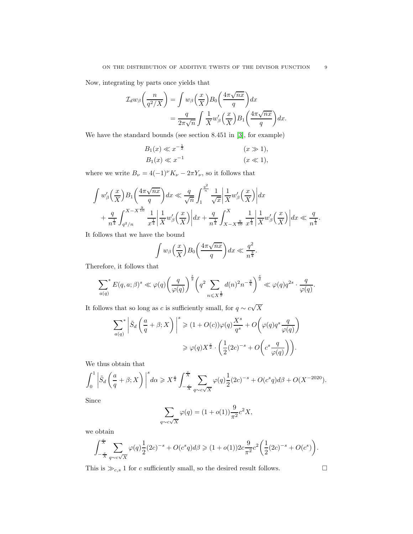Now, integrating by parts once yields that

$$
\mathcal{I}_{d}w_{\beta}\left(\frac{n}{q^{2}/X}\right) = \int w_{\beta}\left(\frac{x}{X}\right)B_{0}\left(\frac{4\pi\sqrt{nx}}{q}\right)dx
$$

$$
= \frac{q}{2\pi\sqrt{n}}\int \frac{1}{X}w_{\beta}'\left(\frac{x}{X}\right)B_{1}\left(\frac{4\pi\sqrt{nx}}{q}\right)dx.
$$

We have the standard bounds (see section 8.451 in [\[3\]](#page-19-8), for example) − 1

$$
B_1(x) \ll x^{-\frac{1}{2}} \qquad (x \gg 1),
$$
  
\n
$$
B_1(x) \ll x^{-1} \qquad (x \ll 1),
$$

where we write  $B_\nu = 4(-1)^\nu K_\nu - 2\pi Y_\nu,$  so it follows that

$$
\int w'_{\beta}\left(\frac{x}{X}\right)B_1\left(\frac{4\pi\sqrt{nx}}{q}\right)dx \ll \frac{q}{\sqrt{n}}\int_1^{\frac{q^2}{n}}\frac{1}{\sqrt{x}}\left|\frac{1}{X}w'_{\beta}\left(\frac{x}{X}\right)\right|dx
$$
  
+ 
$$
\frac{q}{n^{\frac{1}{4}}}\int_{q^2/n}^{X-X^{\frac{9}{10}}}\frac{1}{x^{\frac{1}{4}}}\left|\frac{1}{X}w'_{\beta}\left(\frac{x}{X}\right)\right|dx + \frac{q}{n^{\frac{1}{4}}}\int_{X-X^{\frac{9}{10}}}^{X}\frac{1}{x^{\frac{1}{4}}}\left|\frac{1}{X}w'_{\beta}\left(\frac{x}{X}\right)\right|dx \ll \frac{q}{n^{\frac{1}{4}}}
$$

It follows that we have the bound

$$
\int w_{\beta}\left(\frac{x}{X}\right)B_0\left(\frac{4\pi\sqrt{nx}}{q}\right)dx \ll \frac{q^2}{n^{\frac{3}{4}}}.
$$

Therefore, it follows that

$$
\sum_{a(q)}^* E(q, a; \beta)^s \ll \varphi(q) \bigg(\frac{q}{\varphi(q)}\bigg)^{\frac{s}{2}} \bigg(q^2 \sum_{n \leqslant X^{\frac{1}{9}}} d(n)^2 n^{-\frac{3}{4}}\bigg)^{\frac{s}{2}} \ll \varphi(q) q^{2s} \cdot \frac{q}{\varphi(q)}.
$$

It follows that so long as c is sufficiently small, for  $q \sim c\sqrt{X}$ 

$$
\sum_{a(q)}^{*} \left| \tilde{S}_d \left( \frac{a}{q} + \beta; X \right) \right|^s \ge (1 + O(c))\varphi(q) \frac{X^s}{q^s} + O\left(\varphi(q)q^s \frac{q}{\varphi(q)}\right)
$$

$$
\ge \varphi(q) X^{\frac{s}{2}} \cdot \left(\frac{1}{2}(2c)^{-s} + O\left(c^s \frac{q}{\varphi(q)}\right)\right).
$$

We thus obtain that

$$
\int_0^1 \left| \tilde{S}_d \left( \frac{a}{q} + \beta; X \right) \right|^s d\alpha \ge X^{\frac{s}{2}} \int_{-\frac{c}{X}}^{\frac{c}{X}} \sum_{q \sim c\sqrt{X}} \varphi(q) \frac{1}{2} (2c)^{-s} + O(c^s q) d\beta + O(X^{-2020}).
$$

Since

$$
\sum_{q \sim c\sqrt{X}} \varphi(q) = (1 + o(1)) \frac{9}{\pi^2} c^2 X,
$$

we obtain

$$
\int_{-\frac{c}{X}}^{\frac{c}{X}}\sum_{q\sim c\sqrt{X}}\varphi(q)\frac{1}{2}(2c)^{-s}+O(c^sq)d\beta\geqslant (1+o(1))2c\frac{9}{\pi^2}c^2\bigg(\frac{1}{2}(2c)^{-s}+O(c^s)\bigg).
$$

This is  $\gg_{c,s} 1$  for  $c$  sufficiently small, so the desired result follows.  $\hfill \Box$ 

.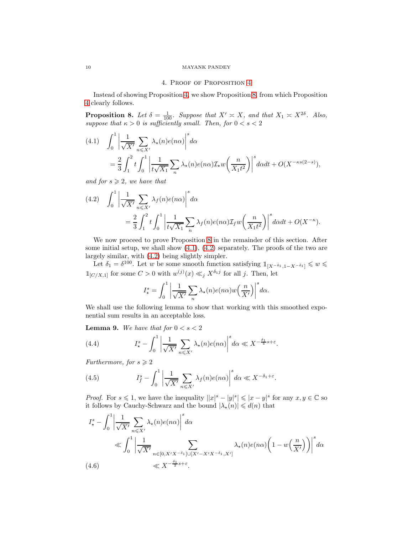# 4. Proof of Proposition [4](#page-2-0)

Instead of showing Proposition [4,](#page-2-0) we show Proposition [8,](#page-9-1) from which Proposition [4](#page-2-0) clearly follows.

<span id="page-9-1"></span>**Proposition 8.** Let  $\delta = \frac{1}{100}$ . Suppose that  $X' \approx X$ , and that  $X_1 \approx X^{2\delta}$ . Also, suppose that  $\kappa > 0$  is sufficiently small. Then, for  $0 < s < 2$ 

<span id="page-9-2"></span>(4.1) 
$$
\int_0^1 \left| \frac{1}{\sqrt{X'}} \sum_{n \le X'} \lambda_\star(n) e(n\alpha) \right|^s d\alpha
$$
  
= 
$$
\frac{2}{3} \int_1^2 t \int_0^1 \left| \frac{1}{t \sqrt{X_1}} \sum_n \lambda_\star(n) e(n\alpha) \mathcal{I}_\star w\left(\frac{n}{X_1 t^2}\right) \right|^s d\alpha dt + O(X^{-\kappa s(2-s)}),
$$

and for  $s \geqslant 2$ , we have that

<span id="page-9-3"></span>(4.2) 
$$
\int_0^1 \left| \frac{1}{\sqrt{X'}} \sum_{n \le X'} \lambda_f(n) e(n\alpha) \right|^s d\alpha
$$
  
= 
$$
\frac{2}{3} \int_1^2 t \int_0^1 \left| \frac{1}{t\sqrt{X_1}} \sum_n \lambda_f(n) e(n\alpha) \mathcal{I}_f w\left(\frac{n}{X_1 t^2}\right) \right|^s d\alpha dt + O(X^{-\kappa}).
$$

We now proceed to prove Proposition [8](#page-9-1) in the remainder of this section. After some initial setup, we shall show [\(4.1\)](#page-9-2), [\(4.2\)](#page-9-3) separately. The proofs of the two are largely similar, with [\(4.2\)](#page-9-3) being slightly simpler.

Let  $\delta_1 = \delta^{100}$ . Let w be some smooth function satisfying  $1_{[X^{-\delta_1}, 1-X^{-\delta_1}]} \leq w \leq$  $\mathbb{1}_{[C/X,1]}$  for some  $C > 0$  with  $w^{(j)}(x) \ll_j X^{\delta_{1}j}$  for all j. Then, let

$$
I_{\star}^{s} = \int_{0}^{1} \left| \frac{1}{\sqrt{X'}} \sum_{n} \lambda_{\star}(n) e(n\alpha) w\left(\frac{n}{X'}\right) \right|^{s} d\alpha.
$$

We shall use the following lemma to show that working with this smoothed exponential sum results in an acceptable loss.

**Lemma 9.** We have that for  $0 < s < 2$ 

<span id="page-9-5"></span>(4.4) 
$$
I_{\star}^{s} - \int_{0}^{1} \left| \frac{1}{\sqrt{X'}} \sum_{n \leq X'} \lambda_{\star}(n) e(n\alpha) \right|^{s} d\alpha \ll X^{-\frac{\delta_{1}}{4}s + \varepsilon}.
$$

Furthermore, for  $s \geqslant 2$ 

<span id="page-9-6"></span>(4.5) 
$$
I_f^s - \int_0^1 \left| \frac{1}{\sqrt{X'}} \sum_{n \leq X'} \lambda_f(n) e(n\alpha) \right|^s d\alpha \ll X^{-\delta_1 + \varepsilon}.
$$

*Proof.* For  $s \leq 1$ , we have the inequality  $||x|^s - |y|^s| \leq |x - y|^s$  for any  $x, y \in \mathbb{C}$  so it follows by Cauchy-Schwarz and the bound  $|\lambda_{\star}(n)| \leq d(n)$  that

<span id="page-9-4"></span>
$$
I_{\star}^{s} - \int_{0}^{1} \left| \frac{1}{\sqrt{X'}} \sum_{n \leq X'} \lambda_{\star}(n) e(n\alpha) \right|^{s} d\alpha
$$
  
\$\ll \int\_{0}^{1} \left| \frac{1}{\sqrt{X'}} \sum\_{n \in [0, X'X^{-\delta\_{1}}] \cup [X'-X'X^{-\delta\_{1}}, X']} \lambda\_{\star}(n) e(n\alpha) \left(1 - w\left(\frac{n}{X'}\right)\right) \right|^{s} d\alpha\$  
(4.6) \$\ll X^{-\frac{\delta\_{1}}{2}s + \varepsilon}\$.

<span id="page-9-0"></span>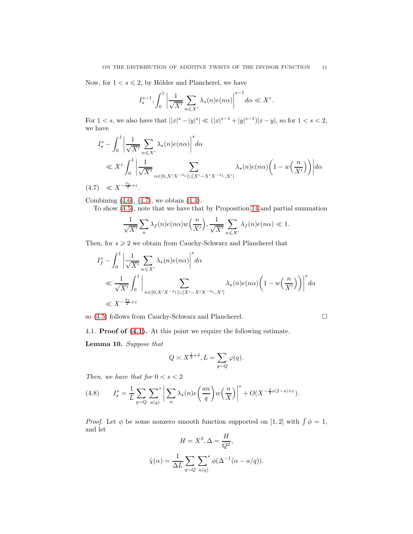Now, for  $1 < s \leq 2$ , by Hölder and Plancherel, we have

$$
I_{\star}^{s-1}, \int_{0}^{1} \left| \frac{1}{\sqrt{X'}} \sum_{n \leq X'} \lambda_{\star}(n) e(n\alpha) \right|^{s-1} d\alpha \ll X^{\varepsilon}.
$$

For  $1 < s$ , we also have that  $||x|^{s} - |y|^{s}| \ll (|x|^{s-1} + |y|^{s-1}) |x - y|$ , so for  $1 < s < 2$ , we have

$$
I_{\star}^{s} - \int_{0}^{1} \left| \frac{1}{\sqrt{X'}} \sum_{n \leq X'} \lambda_{\star}(n) e(n\alpha) \right|^{s} d\alpha
$$
  
\$\ll X^{\varepsilon} \int\_{0}^{1} \left| \frac{1}{\sqrt{X'}} \sum\_{n \in [0, X'X^{-\delta\_{1}}] \cup [X'-X'X^{-\delta\_{1}}, X']} \lambda\_{\star}(n) e(n\alpha) \left( 1 - w\left(\frac{n}{X'}\right) \right) \right| d\alpha\$  
(4.7) \$\ll X^{-\frac{\delta\_{1}}{2} + \varepsilon}\$.

<span id="page-10-0"></span>Combining [\(4.6\)](#page-9-4), [\(4.7\)](#page-10-0), we obtain [\(4.4\)](#page-9-5).

To show [\(4.5\)](#page-9-6), note that we have that by Proposition [14](#page-15-0) and partial summation

$$
\frac{1}{\sqrt{X'}}\sum_{n}\lambda_{f}(n)e(n\alpha)w\left(\frac{n}{X'}\right),\frac{1}{\sqrt{X'}}\sum_{n\leq X'}\lambda_{f}(n)e(n\alpha)\ll 1.
$$

Then, for  $s \geq 2$  we obtain from Cauchy-Schwarz and Plancherel that

$$
I_f^s - \int_0^1 \left| \frac{1}{\sqrt{X'}} \sum_{n \le X'} \lambda_\star(n) e(n\alpha) \right|^s d\alpha
$$
  
\$\le \frac{1}{\sqrt{X'}} \int\_0^1 \left| \sum\_{n \in [0, X'X^{-\delta\_1}] \cup [X'-X'X^{-\delta\_1}, X']} \lambda\_\star(n) e(n\alpha) \left(1 - w\left(\frac{n}{X'}\right)\right) \right|^s d\alpha\$  
\$\le X^{-\frac{\delta\_1}{2} + \varepsilon}\$

so [\(4.5\)](#page-9-6) follows from Cauchy-Schwarz and Plancherel.

$$
\qquad \qquad \Box
$$

4.1. Proof of [\(4.1\)](#page-9-2). At this point we require the following estimate.

Lemma 10. Suppose that

$$
Q\asymp X^{\frac{1}{2}+\delta}, L=\sum_{q\sim Q}\varphi(q).
$$

Then, we have that for  $0 < s < 2$ 

<span id="page-10-1"></span>(4.8) 
$$
I_{\star}^{s} = \frac{1}{L} \sum_{q \sim Q} \sum_{a(q)}^{s} \left| \sum_{n} \lambda_{\star}(n) e\left(\frac{an}{q}\right) w\left(\frac{n}{X}\right) \right|^{s} + O(X^{-\frac{\delta}{4}s(2-s)+\varepsilon}).
$$

*Proof.* Let  $\phi$  be some nonzero smooth function supported on [1, 2] with  $\int \phi = 1$ , and let

$$
H = X^{\delta}, \Delta = \frac{H}{Q^2},
$$

$$
\tilde{\chi}(\alpha) = \frac{1}{\Delta L} \sum_{q \sim Q} \sum_{a(q)}^* \phi(\Delta^{-1}(\alpha - a/q)).
$$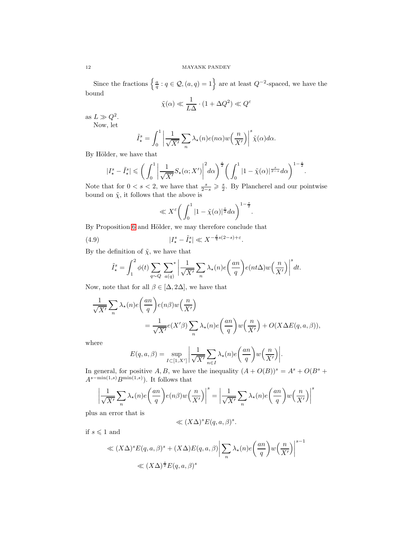Since the fractions  $\left\{\frac{a}{q}: q \in \mathcal{Q}, (a,q) = 1\right\}$  are at least  $Q^{-2}$ -spaced, we have the bound

$$
\tilde{\chi}(\alpha) \ll \frac{1}{L\Delta} \cdot (1 + \Delta Q^2) \ll Q^{\varepsilon}
$$

as  $L \gg Q^2$ .

Now, let

$$
\tilde{I}_{\star}^{s} = \int_{0}^{1} \left| \frac{1}{\sqrt{X'}} \sum_{n} \lambda_{\star}(n) e(n\alpha) w\left(\frac{n}{X'}\right) \right|^{s} \tilde{\chi}(\alpha) d\alpha.
$$

By Hölder, we have that

$$
|I^s_\star - \tilde{I}^s_\star| \leqslant \bigg(\int_0^1 \bigg|\frac{1}{\sqrt{X'}}S_\star(\alpha; X')\bigg|^2 d\alpha\bigg)^{\frac{s}{2}} \bigg(\int_0^1 |1 - \tilde{\chi}(\alpha)|^{\frac{s}{2-s}} d\alpha\bigg)^{1-\frac{s}{2}}.
$$

Note that for  $0 < s < 2$ , we have that  $\frac{s}{2-s} \geq \frac{s}{2}$ . By Plancherel and our pointwise bound on  $\tilde{\chi}$ , it follows that the above is

<span id="page-11-0"></span>
$$
\ll X^{\varepsilon} \bigg( \int_0^1 |1 - \tilde{\chi}(\alpha)|^{\frac{s}{2}} d\alpha \bigg)^{1 - \frac{s}{2}}.
$$

By Proposition [6](#page-4-0) and Hölder, we may therefore conclude that

(4.9) 
$$
|I^s_\star - \tilde{I}^s_\star| \ll X^{-\frac{\delta}{4}s(2-s)+\varepsilon}.
$$

By the definition of  $\tilde{\chi}$ , we have that

$$
\tilde{I}^s_\star = \int_1^2 \phi(t) \sum_{q \sim Q} \sum_{a(q)}^* \left| \frac{1}{\sqrt{X'}} \sum_n \lambda_\star(n) e\left(\frac{an}{q}\right) e(nt\Delta) w\left(\frac{n}{X'}\right) \right|^s dt.
$$

Now, note that for all  $\beta \in [\Delta, 2\Delta]$ , we have that

$$
\frac{1}{\sqrt{X'}} \sum_{n} \lambda_{\star}(n) e\left(\frac{an}{q}\right) e(n\beta) w\left(\frac{n}{X'}\right)
$$
  
= 
$$
\frac{1}{\sqrt{X'}} e(X'\beta) \sum_{n} \lambda_{\star}(n) e\left(\frac{an}{q}\right) w\left(\frac{n}{X'}\right) + O(X \Delta E(q, a, \beta)),
$$

where

$$
E(q, a, \beta) = \sup_{I \subset [1, X']} \left| \frac{1}{\sqrt{X'}} \sum_{n \in I} \lambda_{\star}(n) e\left(\frac{an}{q}\right) w\left(\frac{n}{X'}\right) \right|.
$$

In general, for positive A, B, we have the inequality  $(A + O(B))^s = A^s + O(B^s +$  $A^{s-\min(1,s)}B^{\min(1,s)}$ ). It follows that

$$
\left| \frac{1}{\sqrt{X'}} \sum_{n} \lambda_{\star}(n) e\left(\frac{an}{q}\right) e(n\beta) w\left(\frac{n}{X'}\right) \right|^s = \left| \frac{1}{\sqrt{X'}} \sum_{n} \lambda_{\star}(n) e\left(\frac{an}{q}\right) w\left(\frac{n}{X'}\right) \right|^s
$$

plus an error that is

$$
\ll (X\Delta)^s E(q, a, \beta)^s.
$$

s−1

if  $s\leqslant 1$  and

$$
\ll (X\Delta)^s E(q, a, \beta)^s + (X\Delta)E(q, a, \beta) \left| \sum_n \lambda_\star(n) e\left(\frac{an}{q}\right) w\left(\frac{n}{X'}\right) \right|^{s-1}
$$
  

$$
\ll (X\Delta)^{\frac{s}{2}} E(q, a, \beta)^s
$$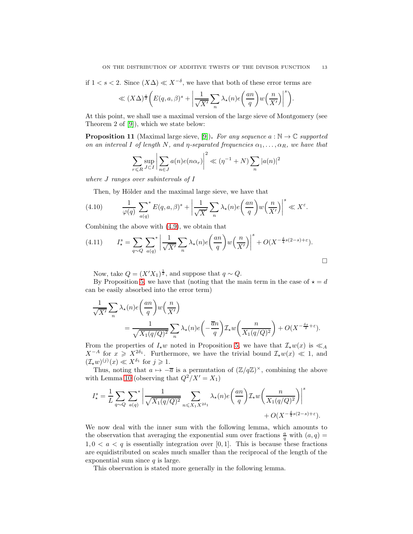if  $1 < s < 2$ . Since  $(X\Delta) \ll X^{-\delta}$ , we have that both of these error terms are

$$
\ll (X\Delta)^{\frac{s}{2}} \bigg( E(q, a, \beta)^s + \bigg| \frac{1}{\sqrt{X'}} \sum_{n} \lambda_{\star}(n) e\bigg(\frac{an}{q}\bigg) w\bigg(\frac{n}{X'}\bigg) \bigg|^s \bigg).
$$

At this point, we shall use a maximal version of the large sieve of Montgomery (see Theorem 2 of [\[9\]](#page-19-9)), which we state below:

**Proposition 11** (Maximal large sieve, [\[9\]](#page-19-9)). For any sequence  $a : \mathbb{N} \to \mathbb{C}$  supported on an interval I of length N, and  $\eta$ -separated frequencies  $\alpha_1, \ldots, \alpha_R$ , we have that

$$
\sum_{r \leq R} \sup_{J \subset I} \left| \sum_{n \in J} a(n) e(n\alpha_r) \right|^2 \ll (\eta^{-1} + N) \sum_n |a(n)|^2
$$

where J ranges over subintervals of I

Then, by Hölder and the maximal large sieve, we have that

(4.10) 
$$
\frac{1}{\varphi(q)} \sum_{a(q)}^* E(q, a, \beta)^s + \left| \frac{1}{\sqrt{X'}} \sum_n \lambda_\star(n) e\left(\frac{an}{q}\right) w\left(\frac{n}{X'}\right) \right|^s \ll X^\varepsilon.
$$

Combining the above with [\(4.9\)](#page-11-0), we obtain that

(4.11) 
$$
I_{\star}^{s} = \sum_{q \sim Q} \sum_{a(q)}^{s} \left| \frac{1}{\sqrt{X'}} \sum_{n} \lambda_{\star}(n) e\left(\frac{an}{q}\right) w\left(\frac{n}{X'}\right) \right|^{s} + O(X^{-\frac{\delta}{4}s(2-s)+\varepsilon}).
$$

Now, take  $Q = (X'X_1)^{\frac{1}{2}}$ , and suppose that  $q \sim Q$ .

By Proposition [5,](#page-3-0) we have that (noting that the main term in the case of  $\star = d$ can be easily absorbed into the error term)

$$
\frac{1}{\sqrt{X'}} \sum_{n} \lambda_{\star}(n) e\left(\frac{an}{q}\right) w\left(\frac{n}{X'}\right)
$$
  
= 
$$
\frac{1}{\sqrt{X_1(q/Q)^2}} \sum_{n} \lambda_{\star}(n) e\left(-\frac{\overline{a}n}{q}\right) \mathcal{I}_{\star} w\left(\frac{n}{X_1(q/Q)^2}\right) + O(X^{-\frac{\delta s}{2} + \varepsilon}).
$$

From the properties of  $I_{\star}w$  noted in Proposition [5,](#page-3-0) we have that  $\mathcal{I}_{\star}w(x)$  is  $\ll_{A}$  $X^{-A}$  for  $x \geq X^{2\delta_1}$ . Furthermore, we have the trivial bound  $\mathcal{I}_\star w(x) \ll 1$ , and  $(\mathcal{I}_{\star}w)^{(j)}(x)\ll X^{\delta_1}$  for  $j\geqslant 1$ .

Thus, noting that  $a \mapsto -\overline{a}$  is a permutation of  $(\mathbb{Z}/q\mathbb{Z})^{\times}$ , combining the above with Lemma [10](#page-10-1) (observing that  $Q^2/X' = X_1$ )

$$
I_\star^s = \frac{1}{L} \sum_{q \sim Q} \sum_{a(q)}^* \left| \frac{1}{\sqrt{X_1(q/Q)^2}} \sum_{n \leq X_1 X^{2\delta_1}} \lambda_\star(n) e\left(\frac{an}{q}\right) \mathcal{I}_\star w\left(\frac{n}{X_1(q/Q)^2}\right) \right|^s \\ + O(X^{-\frac{\delta}{4}s(2-s) + \varepsilon}).
$$

We now deal with the inner sum with the following lemma, which amounts to the observation that averaging the exponential sum over fractions  $\frac{a}{q}$  with  $(a, q)$  =  $1, 0 < a < q$  is essentially integration over [0, 1]. This is because these fractions are equidistributed on scales much smaller than the reciprocal of the length of the exponential sum since  $q$  is large.

This observation is stated more generally in the following lemma.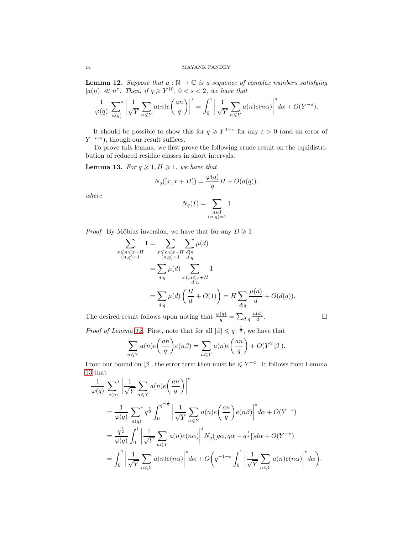<span id="page-13-0"></span>**Lemma 12.** Suppose that  $a : \mathbb{N} \to \mathbb{C}$  is a sequence of complex numbers satisfying  $|a(n)| \ll n^{\varepsilon}$ . Then, if  $q \geq Y^{10}$ ,  $0 < s < 2$ , we have that

$$
\frac{1}{\varphi(q)} \sum_{a(q)}^{} \left| \frac{1}{\sqrt{Y}} \sum_{n \leq Y} a(n) e\left(\frac{an}{q}\right) \right|^s = \int_0^1 \left| \frac{1}{\sqrt{Y}} \sum_{n \leq Y} a(n) e(n\alpha) \right|^s d\alpha + O(Y^{-s}).
$$

It should be possible to show this for  $q \geq Y^{1+\varepsilon}$  for any  $\varepsilon > 0$  (and an error of  $Y^{-c\epsilon s}$ , though our result suffices.

To prove this lemma, we first prove the following crude result on the equidistribution of reduced residue classes in short intervals.

<span id="page-13-1"></span>**Lemma 13.** For  $q \geq 1, H \geq 1$ , we have that

 $\overline{\phantom{0}}$ 

$$
N_q([x, x+H]) = \frac{\varphi(q)}{q}H + O(d(q)).
$$

where

$$
N_q(I) = \sum_{\substack{n \in I \\ (n,q)=1}} 1
$$

*Proof.* By Möbius inversion, we have that for any  $D \ge 1$ 

$$
\sum_{\substack{x \le n \le x+H \\ (n,q)=1}} 1 = \sum_{\substack{x \le n \le x+H \\ (n,q)=1}} \sum_{\substack{d|n \\ d|q}} \mu(d)
$$
\n
$$
= \sum_{d|q} \mu(d) \sum_{\substack{x \le n \le x+H \\ d|n}} 1
$$
\n
$$
= \sum_{d|q} \mu(d) \left(\frac{H}{d} + O(1)\right) = H \sum_{d|q} \frac{\mu(d)}{d} + O(d(q)).
$$

The desired result follows upon noting that  $\frac{\varphi(q)}{q} = \sum_{d|q} \frac{\mu(d)}{d}$ d .

*Proof of Lemma [12.](#page-13-0)* First, note that for all  $|\beta| \leqslant q^{-\frac{1}{2}}$ , we have that

$$
\sum_{n \leq Y} a(n)e\left(\frac{an}{q}\right)e(n\beta) = \sum_{n \leq Y} a(n)e\left(\frac{an}{q}\right) + O(Y^2|\beta|).
$$

From our bound on | $\beta$ , the error term then must be  $\leq Y^{-3}$ . It follows from Lemma [13](#page-13-1) that

$$
\frac{1}{\varphi(q)} \sum_{a(q)}^{\infty} \left| \frac{1}{\sqrt{Y}} \sum_{n \leq Y} a(n)e\left(\frac{an}{q}\right) \right|^s
$$
\n
$$
= \frac{1}{\varphi(q)} \sum_{a(q)}^{\infty} q^{\frac{1}{2}} \int_0^{q^{-\frac{1}{2}}} \left| \frac{1}{\sqrt{Y}} \sum_{n \leq Y} a(n)e\left(\frac{an}{q}\right)e(n\beta)\right|^s d\alpha + O(Y^{-s})
$$
\n
$$
= \frac{q^{\frac{1}{2}}}{\varphi(q)} \int_0^1 \left| \frac{1}{\sqrt{Y}} \sum_{n \leq Y} a(n)e(n\alpha)\right|^s N_q([q\alpha, q\alpha + q^{\frac{1}{2}}]) d\alpha + O(Y^{-s})
$$
\n
$$
= \int_0^1 \left| \frac{1}{\sqrt{Y}} \sum_{n \leq Y} a(n)e(n\alpha)\right|^s d\alpha + O\left(q^{-1+\varepsilon} \int_0^1 \left| \frac{1}{\sqrt{Y}} \sum_{n \leq Y} a(n)e(n\alpha)\right|^s d\alpha\right).
$$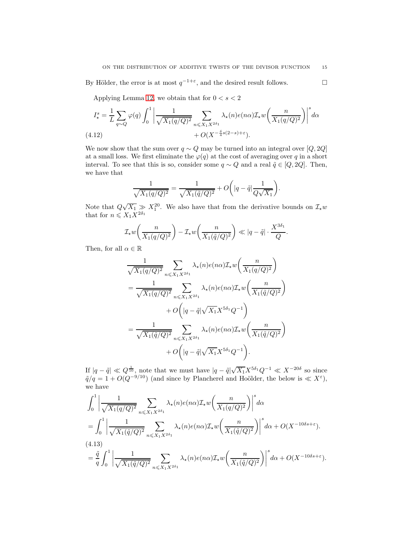By Hölder, the error is at most  $q^{-1+\varepsilon}$ , and the desired result follows.  $\Box$ 

Applying Lemma [12,](#page-13-0) we obtain that for  $0 < s < 2$ 

$$
I_{\star}^{s} = \frac{1}{L} \sum_{q \sim Q} \varphi(q) \int_{0}^{1} \left| \frac{1}{\sqrt{X_{1}(q/Q)^{2}}} \sum_{n \leq X_{1} X^{2\delta_{1}}} \lambda_{\star}(n) e(n\alpha) \mathcal{I}_{\star} w\left(\frac{n}{X_{1}(q/Q)^{2}}\right) \right|^{s} d\alpha
$$
\n
$$
(4.12) \qquad \qquad + O(X^{-\frac{\delta}{4}s(2-s)+\varepsilon}).
$$

<span id="page-14-1"></span>We now show that the sum over  $q \sim Q$  may be turned into an integral over [Q, 2Q] at a small loss. We first eliminate the  $\varphi(q)$  at the cost of averaging over q in a short interval. To see that this is so, consider some  $q \sim Q$  and a real  $\tilde{q} \in [Q, 2Q]$ . Then, we have that

$$
\frac{1}{\sqrt{X_1(q/Q)^2}} = \frac{1}{\sqrt{X_1(\tilde{q}/Q)^2}} + O\bigg(|q - \tilde{q}| \frac{1}{Q\sqrt{X_1}}\bigg).
$$

Note that  $Q\sqrt{X_1} \gg X_1^{20}$ . We also have that from the derivative bounds on  $\mathcal{I}_{\star}w$ that for  $n \leqslant X_1 X^{2\delta_1}$ 

$$
\mathcal{I}_{\star} w\left(\frac{n}{X_1(q/Q)^2}\right) - \mathcal{I}_{\star} w\left(\frac{n}{X_1(\tilde{q}/Q)^2}\right) \ll |q - \tilde{q}| \cdot \frac{X^{3\delta_1}}{Q}.
$$

Then, for all  $\alpha \in \mathbb{R}$ 

$$
\frac{1}{\sqrt{X_1(q/Q)^2}} \sum_{n \leq X_1 X^{2\delta_1}} \lambda_{\star}(n) e(n\alpha) \mathcal{I}_{\star} w\left(\frac{n}{X_1(q/Q)^2}\right)
$$
\n
$$
= \frac{1}{\sqrt{X_1(q/Q)^2}} \sum_{n \leq X_1 X^{2\delta_1}} \lambda_{\star}(n) e(n\alpha) \mathcal{I}_{\star} w\left(\frac{n}{X_1(\tilde{q}/Q)^2}\right)
$$
\n
$$
+ O\left(|q - \tilde{q}| \sqrt{X_1} X^{5\delta_1} Q^{-1}\right)
$$
\n
$$
= \frac{1}{\sqrt{X_1(\tilde{q}/Q)^2}} \sum_{n \leq X_1 X^{2\delta_1}} \lambda_{\star}(n) e(n\alpha) \mathcal{I}_{\star} w\left(\frac{n}{X_1(\tilde{q}/Q)^2}\right)
$$
\n
$$
+ O\left(|q - \tilde{q}| \sqrt{X_1} X^{5\delta_1} Q^{-1}\right).
$$

If  $|q - \tilde{q}| \ll Q^{\frac{1}{10}}$ , note that we must have  $|q - \tilde{q}|\sqrt{X_1}X^{5\delta_1}Q^{-1} \ll X^{-20\delta}$  so since  $\tilde{q}/q = 1 + O(Q^{-9/10})$  (and since by Plancherel and Hoölder, the below is  $\ll X^{\varepsilon}$ ), we have

<span id="page-14-0"></span>
$$
\int_0^1 \left| \frac{1}{\sqrt{X_1(q/Q)^2}} \sum_{n \leq X_1 X^{2\delta_1}} \lambda_{\star}(n) e(n\alpha) \mathcal{I}_{\star} w\left(\frac{n}{X_1(q/Q)^2}\right) \right|^s d\alpha
$$
  
= 
$$
\int_0^1 \left| \frac{1}{\sqrt{X_1(\tilde{q}/Q)^2}} \sum_{n \leq X_1 X^{2\delta_1}} \lambda_{\star}(n) e(n\alpha) \mathcal{I}_{\star} w\left(\frac{n}{X_1(\tilde{q}/Q)^2}\right) \right|^s d\alpha + O(X^{-10\delta s + \varepsilon}).
$$
  
(4.13)  
= 
$$
\frac{\tilde{q}}{q} \int_0^1 \left| \frac{1}{\sqrt{X_1(\tilde{q}/Q)^2}} \sum_{n \leq X_1 X^{2\delta_1}} \lambda_{\star}(n) e(n\alpha) \mathcal{I}_{\star} w\left(\frac{n}{X_1(\tilde{q}/Q)^2}\right) \right|^s d\alpha + O(X^{-10\delta s + \varepsilon}).
$$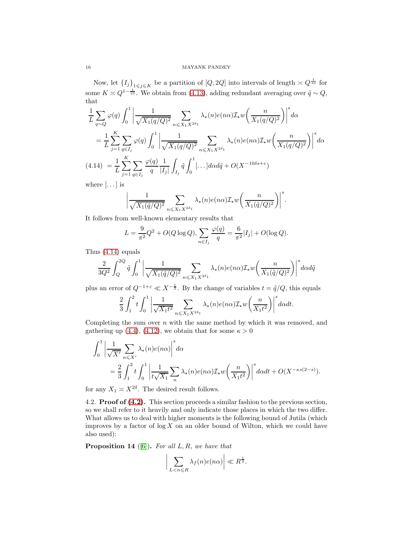Now, let  ${I_j}_{1\leq j\leq K}$  be a partition of  $[Q, 2Q]$  into intervals of length  $\leq Q^{\frac{1}{10}}$  for some  $K \approx Q^{1-\frac{1}{10}}$ . We obtain from [\(4.13\)](#page-14-0), adding redundant averaging over  $\tilde{q} \sim Q$ , that

$$
\frac{1}{L} \sum_{q \sim Q} \varphi(q) \int_0^1 \left| \frac{1}{\sqrt{X_1(q/Q)^2}} \sum_{n \le X_1 X^{2\delta_1}} \lambda_{\star}(n) e(n\alpha) \mathcal{I}_{\star} w\left(\frac{n}{X_1(q/Q)^2}\right) \right|^s d\alpha
$$
\n
$$
= \frac{1}{L} \sum_{j=1}^K \sum_{q \in I_j} \varphi(q) \int_0^1 \left| \frac{1}{\sqrt{X_1(q/Q)^2}} \sum_{n \le X_1 X^{2\delta_1}} \lambda_{\star}(n) e(n\alpha) \mathcal{I}_{\star} w\left(\frac{n}{X_1(q/Q)^2}\right) \right|^s d\alpha
$$
\n
$$
(4.14) = \frac{1}{L} \sum_{j=1}^K \sum_{q \in I_j} \frac{\varphi(q)}{q} \frac{1}{|I_j|} \int_{I_j} \tilde{q} \int_0^1 \left[ \dots \right] d\alpha d\tilde{q} + O(X^{-10\delta s + \varepsilon})
$$

<span id="page-15-1"></span>where  $[...]$  is

$$
\left|\frac{1}{\sqrt{X_1(\tilde{q}/Q)^2}}\sum_{n\leqslant X_1X^{2\delta_1}}\lambda_{\star}(n)e(n\alpha)\mathcal{I}_{\star}w\left(\frac{n}{X_1(\tilde{q}/Q)^2}\right)\right|^{s}.
$$

It follows from well-known elementary results that

$$
L = \frac{9}{\pi^2} Q^2 + O(Q \log Q), \sum_{n \in I_j} \frac{\varphi(q)}{q} = \frac{6}{\pi^2} |I_j| + O(\log Q).
$$

Thus [\(4.14\)](#page-15-1) equals

$$
\frac{2}{3Q^2}\int_Q^{2Q} \tilde{q} \int_0^1 \left|\frac{1}{\sqrt{X_1(\tilde{q}/Q)^2}} \sum_{n \leqslant X_1X^{2\delta_1}} \lambda_\star(n) e(n\alpha) \mathcal{I}_\star w\bigg(\frac{n}{X_1(\tilde{q}/Q)^2}\bigg) \right|^s d\alpha d\tilde{q}
$$

plus an error of  $Q^{-1+\varepsilon} \ll X^{-\frac{1}{2}}$ . By the change of variables  $t = \tilde{q}/Q$ , this equals

$$
\frac{2}{3}\int_1^2 t \int_0^1 \left|\frac{1}{\sqrt{X_1t^2}}\sum_{n\leqslant X_1X^{2\delta_1}}\lambda_\star(n)e(n\alpha)\mathcal{I}_\star w\!\left(\frac{n}{X_1t^2}\right)\right|^s\!d\alpha dt.
$$

Completing the sum over  $n$  with the same method by which it was removed, and gathering up [\(4.4\)](#page-9-5), [\(4.12\)](#page-14-1), we obtain that for some  $\kappa > 0$ 

$$
\int_0^1 \left| \frac{1}{\sqrt{X'}} \sum_{n \leq X'} \lambda_\star(n) e(n\alpha) \right|^s d\alpha
$$
  
= 
$$
\frac{2}{3} \int_1^2 t \int_0^1 \left| \frac{1}{t\sqrt{X_1}} \sum_n \lambda_\star(n) e(n\alpha) \mathcal{I}_\star w\left(\frac{n}{X_1 t^2}\right) \right|^s d\alpha dt + O(X^{-\kappa s(2-s)}).
$$

for any  $X_1 \simeq X^{2\delta}$ . The desired result follows.

4.2. Proof of [\(4.2\)](#page-9-3). This section proceeds a similar fashion to the previous section, so we shall refer to it heavily and only indicate those places in which the two differ. What allows us to deal with higher moments is the following bound of Jutila (which improves by a factor of  $\log X$  on an older bound of Wilton, which we could have also used):

<span id="page-15-0"></span>**Proposition 14** ([\[6\]](#page-19-0)). For all  $L, R$ , we have that

$$
\left|\sum_{L < n \leq R} \lambda_f(n) e(n\alpha)\right| \ll R^{\frac{1}{2}}.
$$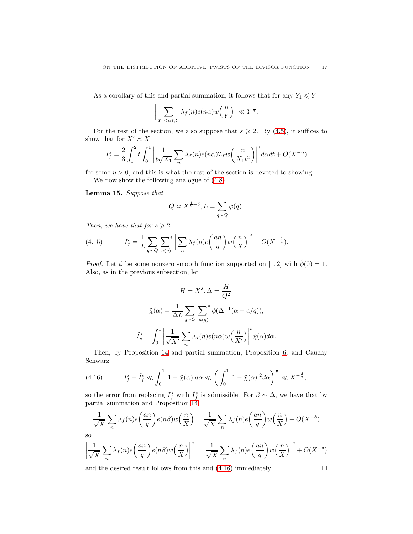As a corollary of this and partial summation, it follows that for any  $Y_1\leqslant Y$ 

$$
\bigg|\sum_{Y_1 < n \leqslant Y} \lambda_f(n) e(n\alpha) w\left(\frac{n}{Y}\right)\bigg| \ll Y^{\frac{1}{2}}.
$$

For the rest of the section, we also suppose that  $s \geq 2$ . By [\(4.5\)](#page-9-6), it suffices to show that for  $X' \simeq X$ 

$$
I_f^s = \frac{2}{3} \int_1^2 t \int_0^1 \left| \frac{1}{t\sqrt{X_1}} \sum_n \lambda_f(n) e(n\alpha) \mathcal{I}_f w\left(\frac{n}{X_1 t^2}\right) \right|^s d\alpha dt + O(X^{-\eta})
$$

for some  $\eta > 0$ , and this is what the rest of the section is devoted to showing.

We now show the following analogue of [\(4.8\)](#page-10-1)

Lemma 15. Suppose that

$$
Q\asymp X^{\frac{1}{2}+\delta}, L=\sum_{q\sim Q}\varphi(q).
$$

Then, we have that for  $s \geqslant 2$ 

(4.15) 
$$
I_f^s = \frac{1}{L} \sum_{q \sim Q} \sum_{a(q)} \left| \sum_n \lambda_f(n) e\left(\frac{an}{q}\right) w\left(\frac{n}{X}\right) \right|^s + O(X^{-\frac{\delta}{4}}).
$$

*Proof.* Let  $\phi$  be some nonzero smooth function supported on [1, 2] with  $\hat{\phi}(0) = 1$ . Also, as in the previous subsection, let

$$
H = X^{\delta}, \Delta = \frac{H}{Q^2},
$$

$$
\tilde{\chi}(\alpha) = \frac{1}{\Delta L} \sum_{q \sim Q} \sum_{a(q)}^* \phi(\Delta^{-1}(\alpha - a/q)),
$$

$$
\tilde{I}^s_{\star} = \int_0^1 \left| \frac{1}{\sqrt{X'}} \sum_n \lambda_{\star}(n) e(n\alpha) w\left(\frac{n}{X'}\right) \right|^s \tilde{\chi}(\alpha) d\alpha.
$$

Then, by Proposition [14](#page-15-0) and partial summation, Proposition [6,](#page-4-0) and Cauchy Schwarz

<span id="page-16-0"></span>(4.16) 
$$
I_f^s - \tilde{I}_f^s \ll \int_0^1 |1 - \tilde{\chi}(\alpha)| d\alpha \ll \left(\int_0^1 |1 - \tilde{\chi}(\alpha)|^2 d\alpha\right)^{\frac{1}{2}} \ll X^{-\frac{\delta}{2}},
$$

so the error from replacing  $I_f^s$  with  $\tilde{I}_f^s$  is admissible. For  $\beta \sim \Delta$ , we have that by partial summation and Proposition [14](#page-15-0)

$$
\frac{1}{\sqrt{X}} \sum_{n} \lambda_{f}(n) e\left(\frac{an}{q}\right) e(n\beta) w\left(\frac{n}{X}\right) = \frac{1}{\sqrt{X}} \sum_{n} \lambda_{f}(n) e\left(\frac{an}{q}\right) w\left(\frac{n}{X}\right) + O(X^{-\delta})
$$
so

$$
\left|\frac{1}{\sqrt{X}}\sum_n \lambda_f(n)e\left(\frac{an}{q}\right)e(n\beta)w\left(\frac{n}{X}\right)\right|^s=\left|\frac{1}{\sqrt{X}}\sum_n \lambda_f(n)e\left(\frac{an}{q}\right)w\left(\frac{n}{X}\right)\right|^s+O(X^{-\delta})
$$

and the desired result follows from this and  $(4.16)$  immediately.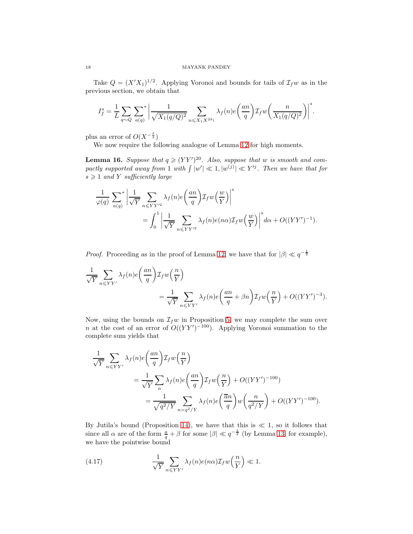Take  $Q = (X'X_1)^{1/2}$ . Applying Voronoi and bounds for tails of  $\mathcal{I}_f w$  as in the previous section, we obtain that

$$
I_f^s = \frac{1}{L} \sum_{q \sim Q} \sum_{a(q)}^* \left| \frac{1}{\sqrt{X_1(q/Q)^2}} \sum_{n \leqslant X_1 X^{2\delta_1}} \lambda_f(n) e\left(\frac{an}{q}\right) \mathcal{I}_f w\left(\frac{n}{X_1(q/Q)^2}\right) \right|^s.
$$

plus an error of  $O(X^{-\frac{\delta}{2}})$ 

We now require the following analogue of Lemma [12](#page-13-0) for high moments.

<span id="page-17-1"></span>**Lemma 16.** Suppose that  $q \geq (YY')^{20}$ . Also, suppose that w is smooth and compactly supported away from 1 with  $\int |w'| \ll 1, |w^{(j)}| \ll Y'^{j}$ . Then we have that for  $s \geqslant 1$  and Y sufficiently large

$$
\begin{split} \frac{1}{\varphi(q)} \, & \sum_{a(q)} \left| \frac{1}{\sqrt{Y}} \sum_{n \leq YY'^2} \lambda_f(n) e\!\left(\frac{an}{q}\right) & \mathcal{I}_f w\!\left(\frac{w}{Y}\right) \right|^s \\ & = \int_0^1 \left| \frac{1}{\sqrt{Y}} \sum_{n \leq YY'^2} \lambda_f(n) e(n\alpha) & \mathcal{I}_f w\!\left(\frac{w}{Y}\right) \right|^s d\alpha + O((YY')^{-1}). \end{split}
$$

*Proof.* Proceeding as in the proof of Lemma [12,](#page-13-0) we have that for  $|\beta| \ll q^{-\frac{1}{2}}$ 

$$
\frac{1}{\sqrt{Y}} \sum_{n \leq YY'} \lambda_f(n) e\left(\frac{an}{q}\right) \mathcal{I}_f w\left(\frac{n}{Y}\right)
$$
\n
$$
= \frac{1}{\sqrt{Y}} \sum_{n \leq YY'} \lambda_f(n) e\left(\frac{an}{q} + \beta n\right) \mathcal{I}_f w\left(\frac{n}{Y}\right) + O((YY')^{-3}).
$$

Now, using the bounds on  $\mathcal{I}_f w$  in Proposition [5,](#page-3-0) we may complete the sum over *n* at the cost of an error of  $O((YY')^{-100})$ . Applying Voronoi summation to the complete sum yields that

$$
\frac{1}{\sqrt{Y}} \sum_{n \leq YY'} \lambda_f(n) e\left(\frac{an}{q}\right) \mathcal{I}_f w\left(\frac{n}{Y}\right)
$$
\n
$$
= \frac{1}{\sqrt{Y}} \sum_n \lambda_f(n) e\left(\frac{an}{q}\right) \mathcal{I}_f w\left(\frac{n}{Y}\right) + O((YY')^{-100})
$$
\n
$$
= \frac{1}{\sqrt{q^2/Y}} \sum_{n \asymp q^2/Y} \lambda_f(n) e\left(\frac{\overline{a}n}{q}\right) w\left(\frac{n}{q^2/Y}\right) + O((YY')^{-100}).
$$

By Jutila's bound (Proposition [14\)](#page-15-0), we have that this is  $\ll 1$ , so it follows that since all  $\alpha$  are of the form  $\frac{a}{q} + \beta$  for some  $|\beta| \ll q^{-\frac{1}{2}}$  (by Lemma [13,](#page-13-1) for example), we have the pointwise bound

<span id="page-17-0"></span>(4.17) 
$$
\frac{1}{\sqrt{Y}} \sum_{n \leqslant YY'} \lambda_f(n) e(n\alpha) \mathcal{I}_f w\left(\frac{n}{Y}\right) \ll 1.
$$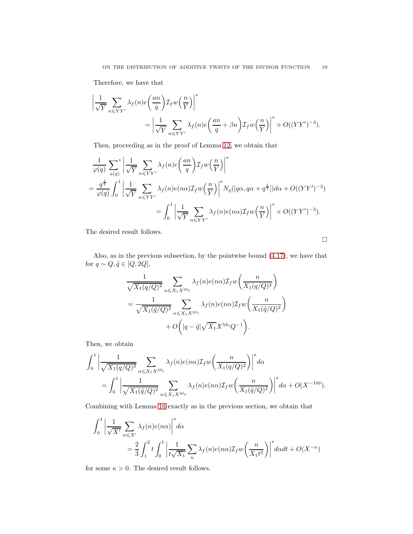Therefore, we have that

$$
\left| \frac{1}{\sqrt{Y}} \sum_{n \leq YY'} \lambda_f(n) e\left(\frac{an}{q}\right) \mathcal{I}_f w\left(\frac{n}{Y}\right) \right|^s
$$
  
= 
$$
\left| \frac{1}{\sqrt{Y}} \sum_{n \leq YY'} \lambda_f(n) e\left(\frac{an}{q} + \beta n\right) \mathcal{I}_f w\left(\frac{n}{Y}\right) \right|^s + O((YY')^{-3}).
$$

Then, proceeding as in the proof of Lemma [12,](#page-13-0) we obtain that

$$
\frac{1}{\varphi(q)} \sum_{a(q)}^{\infty} \left| \frac{1}{\sqrt{Y}} \sum_{n \leq YY'} \lambda_f(n) e\left(\frac{an}{q}\right) \mathcal{I}_f w\left(\frac{n}{Y}\right) \right|^s
$$
\n
$$
= \frac{q^{\frac{1}{2}}}{\varphi(q)} \int_0^1 \left| \frac{1}{\sqrt{Y}} \sum_{n \leq YY'} \lambda_f(n) e(n\alpha) \mathcal{I}_f w\left(\frac{n}{Y}\right) \right|^s N_q([q\alpha, q\alpha + q^{\frac{1}{2}}]) d\alpha + O((YY')^{-3})
$$
\n
$$
= \int_0^1 \left| \frac{1}{\sqrt{Y}} \sum_{n \leq YY'} \lambda_f(n) e(n\alpha) \mathcal{I}_f w\left(\frac{n}{Y}\right) \right|^s + O((YY')^{-3}).
$$

The desired result follows.

 $\Box$ 

Also, as in the previous subsection, by the pointwise bound [\(4.17\)](#page-17-0), we have that for  $q \sim Q, \tilde{q} \in [Q, 2Q],$ 

$$
\frac{1}{\sqrt{X_1(q/Q)^2}} \sum_{n \leq X_1 X^{2\delta_1}} \lambda_f(n) e(n\alpha) \mathcal{I}_f w\left(\frac{n}{X_1(q/Q)^2}\right)
$$

$$
= \frac{1}{\sqrt{X_1(\tilde{q}/Q)^2}} \sum_{n \leq X_1 X^{2\delta_1}} \lambda_f(n) e(n\alpha) \mathcal{I}_f w\left(\frac{n}{X_1(\tilde{q}/Q)^2}\right)
$$

$$
+ O\left(|q - \tilde{q}| \sqrt{X_1} X^{5\delta_1} Q^{-1}\right).
$$

Then, we obtain

$$
\int_0^1 \left| \frac{1}{\sqrt{X_1(q/Q)^2}} \sum_{n \leq X_1 X^{2\delta_1}} \lambda_f(n) e(n\alpha) \mathcal{I}_f w\left(\frac{n}{X_1(q/Q)^2}\right) \right|^s d\alpha
$$
  
= 
$$
\int_0^1 \left| \frac{1}{\sqrt{X_1(\tilde{q}/Q)^2}} \sum_{n \leq X_1 X^{2\delta_1}} \lambda_f(n) e(n\alpha) \mathcal{I}_f w\left(\frac{n}{X_1(\tilde{q}/Q)^2}\right) \right|^s d\alpha + O(X^{-10\delta}).
$$

Combining with Lemma [16](#page-17-1) exactly as in the previous section, we obtain that

$$
\int_0^1 \left| \frac{1}{\sqrt{X'}} \sum_{n \le X'} \lambda_f(n) e(n\alpha) \right|^s d\alpha
$$
  
= 
$$
\frac{2}{3} \int_1^2 t \int_0^1 \left| \frac{1}{t\sqrt{X_1}} \sum_n \lambda_f(n) e(n\alpha) \mathcal{I}_f w\left(\frac{n}{X_1 t^2}\right) \right|^s d\alpha dt + O(X^{-\kappa})
$$

for some  $\kappa > 0$ . The desired result follows.